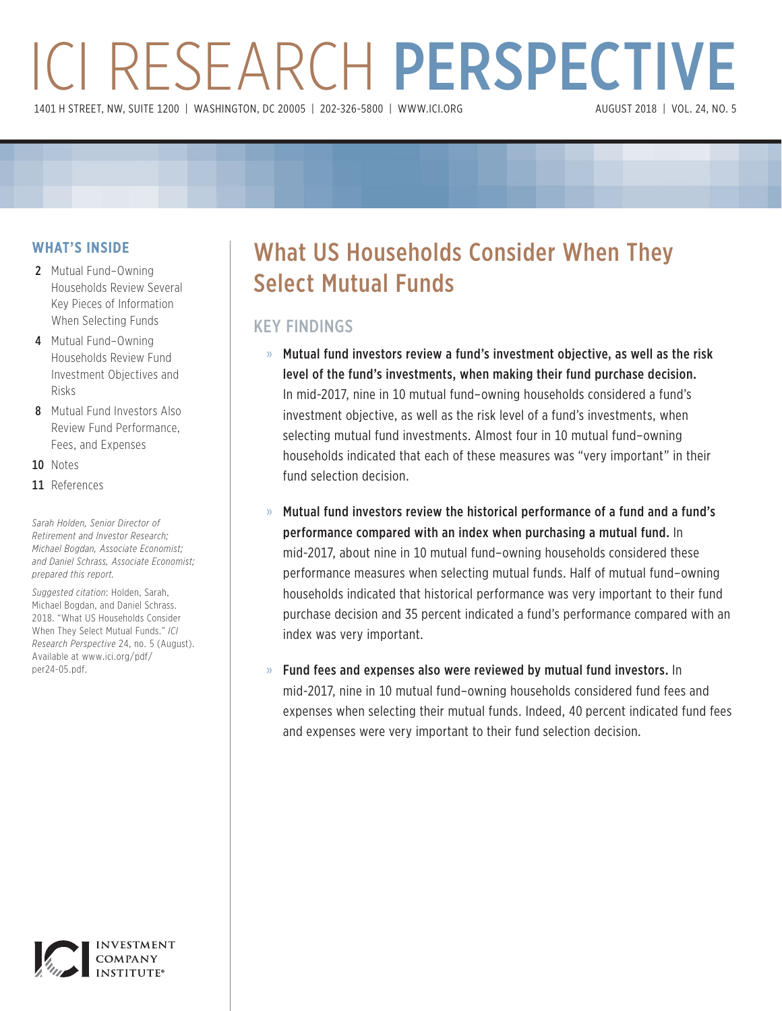# ICI RESEARCH PERSPECTIVE 1401 H STREET, NW, SUITE 1200 | WASHINGTON, DC 20005 | 202-326-5800 | WWW.ICI.ORG

# **WHAT'S INSIDE**

- 2 Mutual Fund–Owning Households Review Several Key Pieces of Information When Selecting Funds
- 4 Mutual Fund–Owning Households Review Fund Investment Objectives and Risks
- 8 Mutual Fund Investors Also Review Fund Performance, Fees, and Expenses
- 10 Notes
- 11 References

*Sarah Holden, Senior Director of Retirement and Investor Research; Michael Bogdan, Associate Economist; and Daniel Schrass, Associate Economist; prepared this report.*

*Suggested citation*: Holden, Sarah, Michael Bogdan, and Daniel Schrass. 2018. "What US Households Consider When They Select Mutual Funds." *ICI Research Perspective* 24, no. 5 (August). [Available at www.ici.org/pdf/](www.ici.org/pdf/per24-05.pdf) per24-05.pdf.



# KEY FINDINGS

- » Mutual fund investors review a fund's investment objective, as well as the risk level of the fund's investments, when making their fund purchase decision. In mid-2017, nine in 10 mutual fund–owning households considered a fund's investment objective, as well as the risk level of a fund's investments, when selecting mutual fund investments. Almost four in 10 mutual fund–owning households indicated that each of these measures was "very important" in their fund selection decision.
- » Mutual fund investors review the historical performance of a fund and a fund's performance compared with an index when purchasing a mutual fund. In mid-2017, about nine in 10 mutual fund–owning households considered these performance measures when selecting mutual funds. Half of mutual fund–owning households indicated that historical performance was very important to their fund purchase decision and 35 percent indicated a fund's performance compared with an index was very important.
- » Fund fees and expenses also were reviewed by mutual fund investors. In mid-2017, nine in 10 mutual fund–owning households considered fund fees and expenses when selecting their mutual funds. Indeed, 40 percent indicated fund fees and expenses were very important to their fund selection decision.

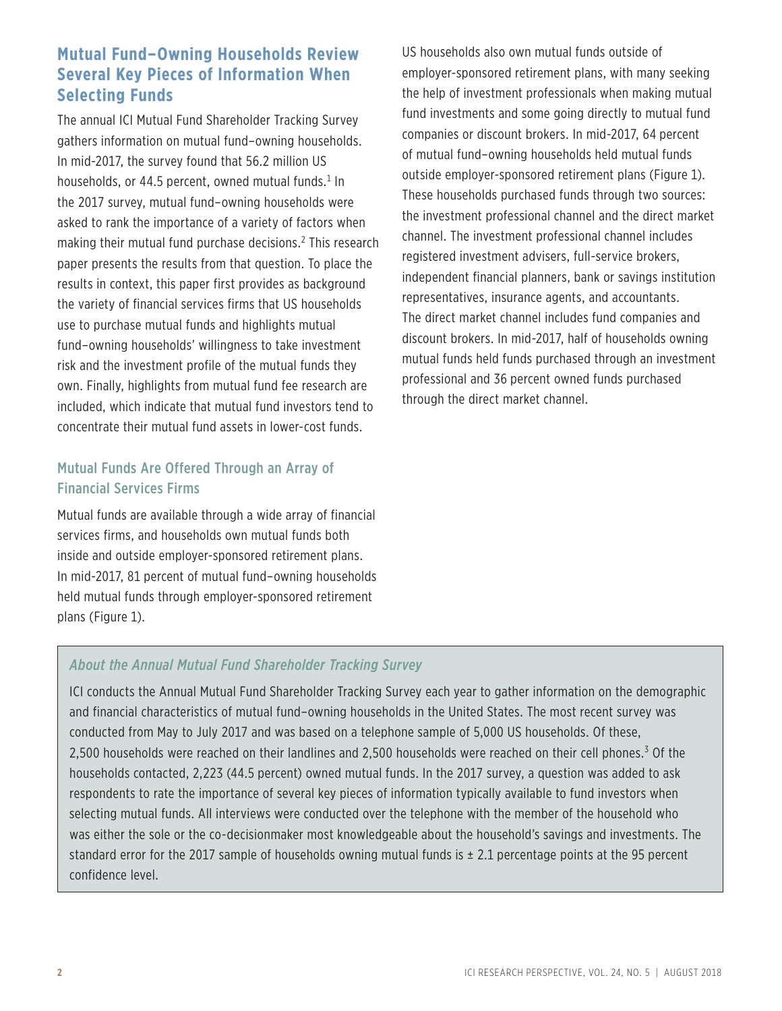# **Mutual Fund–Owning Households Review Several Key Pieces of Information When Selecting Funds**

The annual ICI Mutual Fund Shareholder Tracking Survey gathers information on mutual fund–owning households. In mid-2017, the survey found that 56.2 million US households, or 44.5 percent, owned mutual funds. $^1$  In the 2017 survey, mutual fund–owning households were asked to rank the importance of a variety of factors when making their mutual fund purchase decisions.<sup>2</sup> This research paper presents the results from that question. To place the results in context, this paper first provides as background the variety of financial services firms that US households use to purchase mutual funds and highlights mutual fund–owning households' willingness to take investment risk and the investment profile of the mutual funds they own. Finally, highlights from mutual fund fee research are included, which indicate that mutual fund investors tend to concentrate their mutual fund assets in lower-cost funds.

# Mutual Funds Are Offered Through an Array of Financial Services Firms

Mutual funds are available through a wide array of financial services firms, and households own mutual funds both inside and outside employer-sponsored retirement plans. In mid-2017, 81 percent of mutual fund–owning households held mutual funds through employer-sponsored retirement plans (Figure 1).

US households also own mutual funds outside of employer-sponsored retirement plans, with many seeking the help of investment professionals when making mutual fund investments and some going directly to mutual fund companies or discount brokers. In mid-2017, 64 percent of mutual fund–owning households held mutual funds outside employer-sponsored retirement plans (Figure 1). These households purchased funds through two sources: the investment professional channel and the direct market channel. The investment professional channel includes registered investment advisers, full-service brokers, independent financial planners, bank or savings institution representatives, insurance agents, and accountants. The direct market channel includes fund companies and discount brokers. In mid-2017, half of households owning mutual funds held funds purchased through an investment professional and 36 percent owned funds purchased through the direct market channel.

# *About the Annual Mutual Fund Shareholder Tracking Survey*

ICI conducts the Annual Mutual Fund Shareholder Tracking Survey each year to gather information on the demographic and financial characteristics of mutual fund–owning households in the United States. The most recent survey was conducted from May to July 2017 and was based on a telephone sample of 5,000 US households. Of these, 2,500 households were reached on their landlines and 2,500 households were reached on their cell phones.<sup>3</sup> Of the households contacted, 2,223 (44.5 percent) owned mutual funds. In the 2017 survey, a question was added to ask respondents to rate the importance of several key pieces of information typically available to fund investors when selecting mutual funds. All interviews were conducted over the telephone with the member of the household who was either the sole or the co-decisionmaker most knowledgeable about the household's savings and investments. The standard error for the 2017 sample of households owning mutual funds is  $\pm$  2.1 percentage points at the 95 percent confidence level.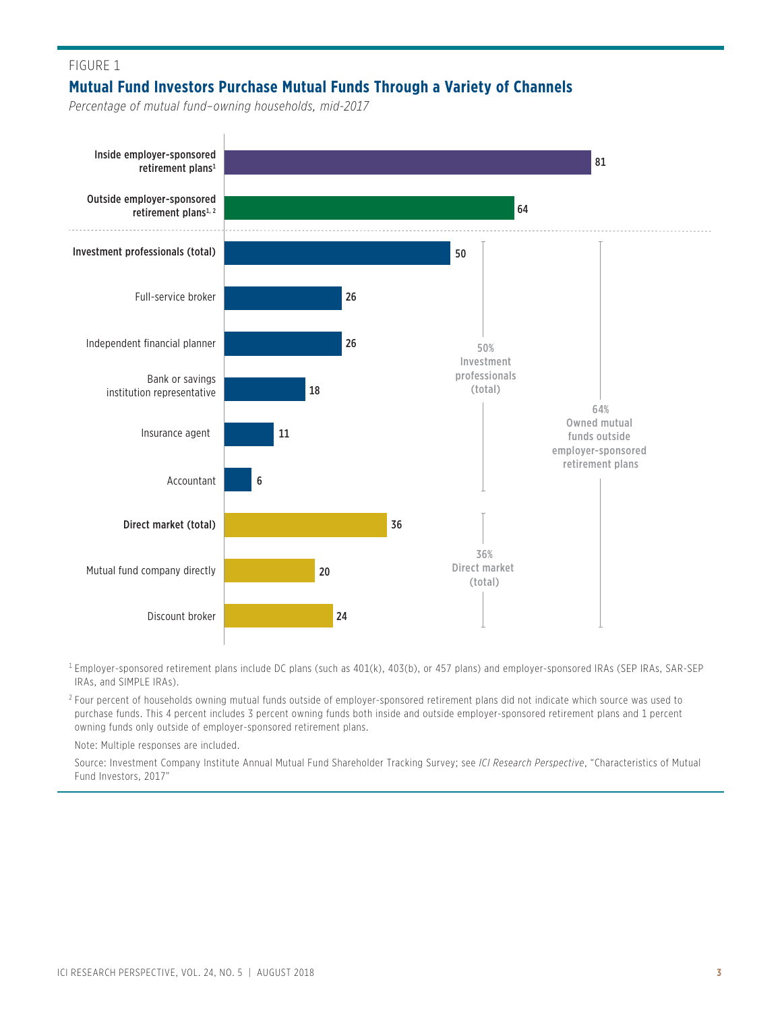# FIGURE 1 **Mutual Fund Investors Purchase Mutual Funds Through a Variety of Channels**

*Percentage of mutual fund–owning households, mid-2017*



 $^{\rm 1}$ Employer-sponsored retirement plans include DC plans (such as 401(k), 403(b), or 457 plans) and employer-sponsored IRAs (SEP IRAs, SAR-SEP IRAs, and SIMPLE IRAs).

2 Four percent of households owning mutual funds outside of employer-sponsored retirement plans did not indicate which source was used to purchase funds. This 4 percent includes 3 percent owning funds both inside and outside employer-sponsored retirement plans and 1 percent owning funds only outside of employer-sponsored retirement plans.

Note: Multiple responses are included.

 Source: Investment Company Institute Annual Mutual Fund Shareholder Tracking Survey; see *ICI Research Perspective*, "Characteristics of Mutual Fund Investors, 2017"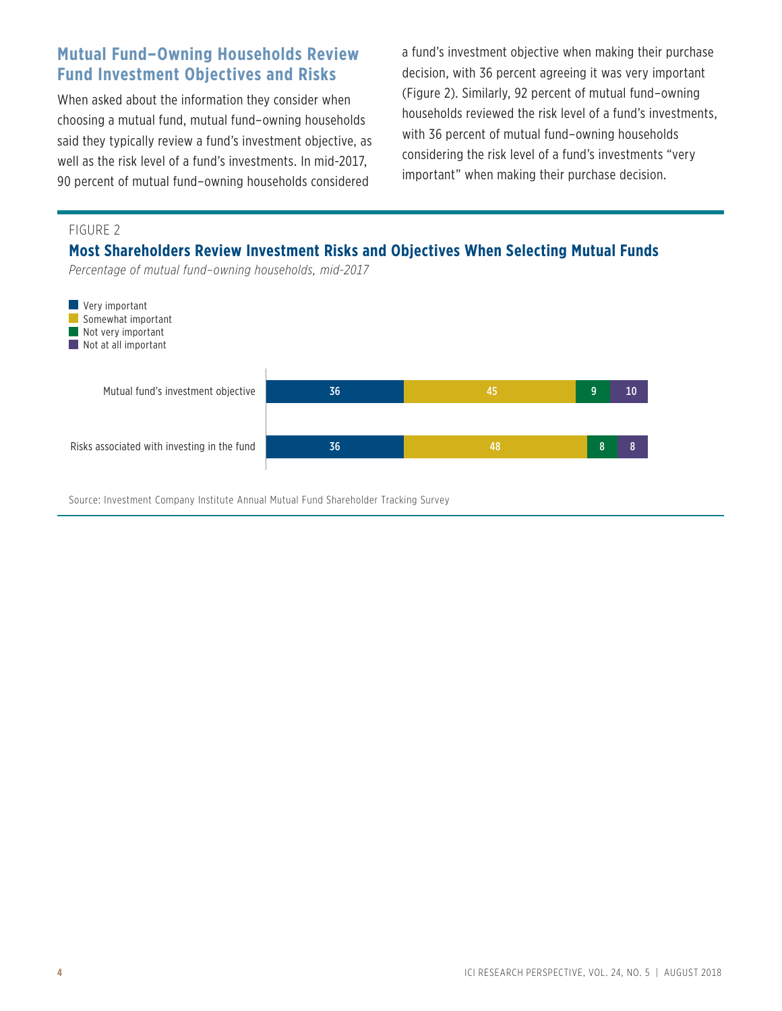# **Mutual Fund–Owning Households Review Fund Investment Objectives and Risks**

When asked about the information they consider when choosing a mutual fund, mutual fund–owning households said they typically review a fund's investment objective, as well as the risk level of a fund's investments. In mid-2017, 90 percent of mutual fund–owning households considered

a fund's investment objective when making their purchase decision, with 36 percent agreeing it was very important (Figure 2). Similarly, 92 percent of mutual fund–owning households reviewed the risk level of a fund's investments, with 36 percent of mutual fund–owning households considering the risk level of a fund's investments "very important" when making their purchase decision.

### FIGURE 2

**Most Shareholders Review Investment Risks and Objectives When Selecting Mutual Funds**

*Percentage of mutual fund–owning households, mid-2017*



Source: Investment Company Institute Annual Mutual Fund Shareholder Tracking Survey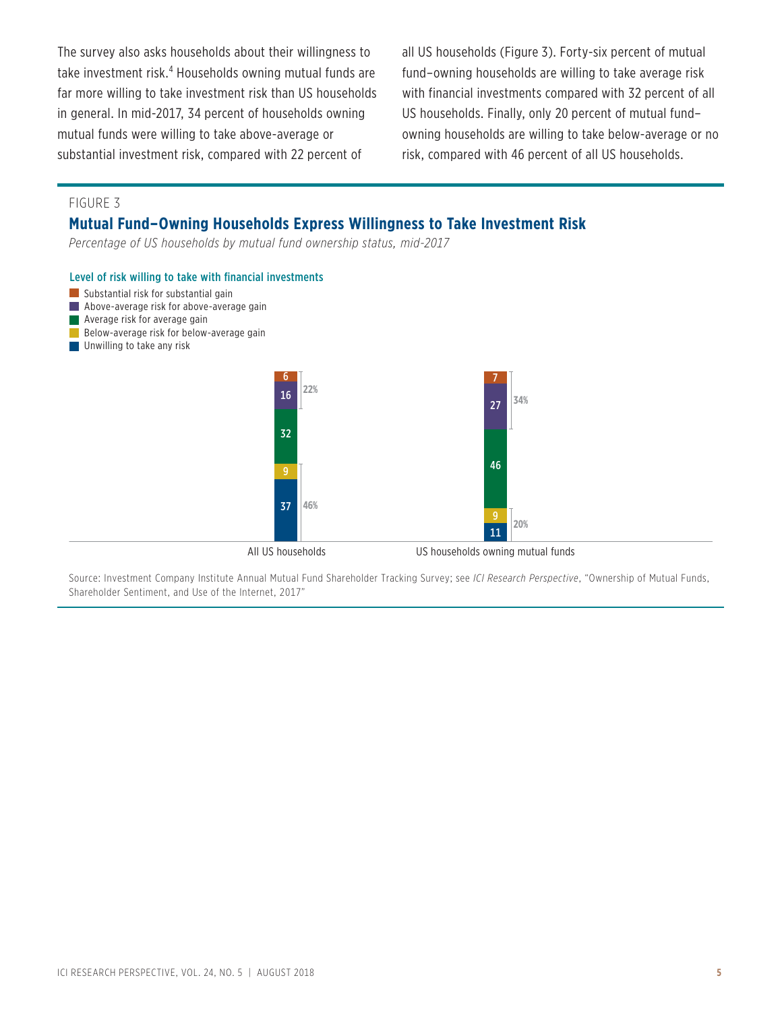The survey also asks households about their willingness to take investment risk.<sup>4</sup> Households owning mutual funds are far more willing to take investment risk than US households in general. In mid-2017, 34 percent of households owning mutual funds were willing to take above-average or substantial investment risk, compared with 22 percent of

all US households (Figure 3). Forty-six percent of mutual fund–owning households are willing to take average risk with financial investments compared with 32 percent of all US households. Finally, only 20 percent of mutual fund– owning households are willing to take below-average or no risk, compared with 46 percent of all US households.

### FIGURE 3

### **Mutual Fund–Owning Households Express Willingness to Take Investment Risk**

*Percentage of US households by mutual fund ownership status, mid-2017*

#### Level of risk willing to take with financial investments



- Above-average risk for above-average gain
- **Average risk for average gain**
- Below-average risk for below-average gain
- **Unwilling to take any risk**



Source: Investment Company Institute Annual Mutual Fund Shareholder Tracking Survey; see *ICI Research Perspective*, "Ownership of Mutual Funds, Shareholder Sentiment, and Use of the Internet, 2017"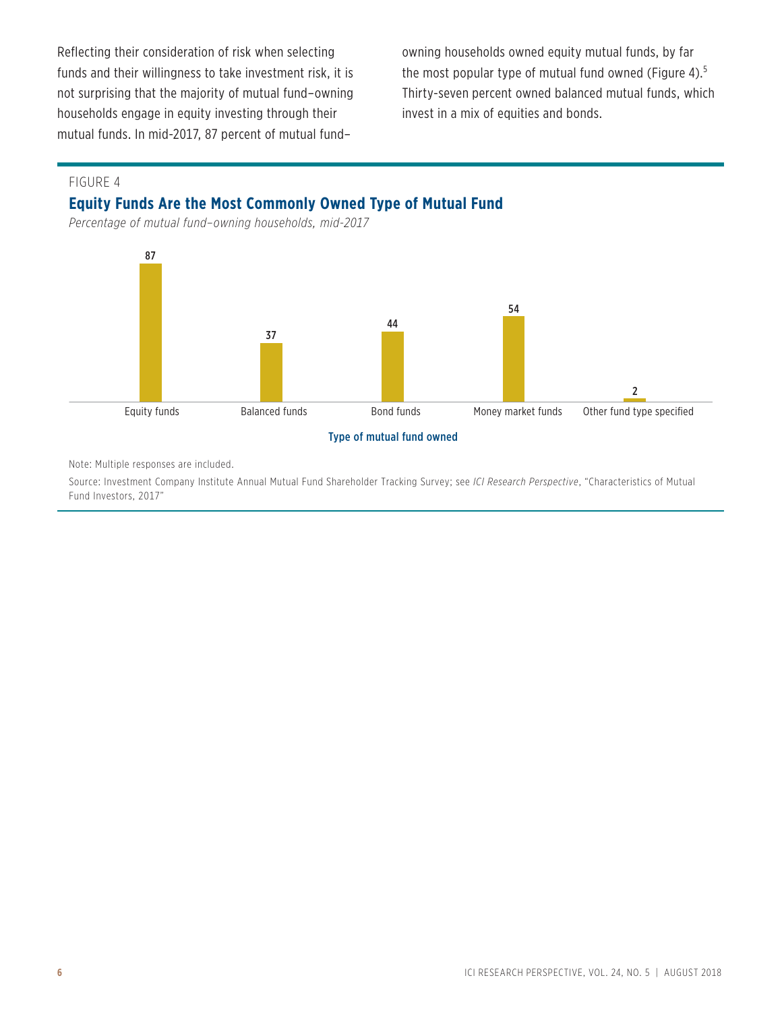Reflecting their consideration of risk when selecting funds and their willingness to take investment risk, it is not surprising that the majority of mutual fund–owning households engage in equity investing through their mutual funds. In mid-2017, 87 percent of mutual fund–

owning households owned equity mutual funds, by far the most popular type of mutual fund owned (Figure 4).<sup>5</sup> Thirty-seven percent owned balanced mutual funds, which invest in a mix of equities and bonds.

### FIGURE 4

# **Equity Funds Are the Most Commonly Owned Type of Mutual Fund**

*Percentage of mutual fund–owning households, mid-2017*





Note: Multiple responses are included.

Source: Investment Company Institute Annual Mutual Fund Shareholder Tracking Survey; see *ICI Research Perspective*, "Characteristics of Mutual Fund Investors, 2017"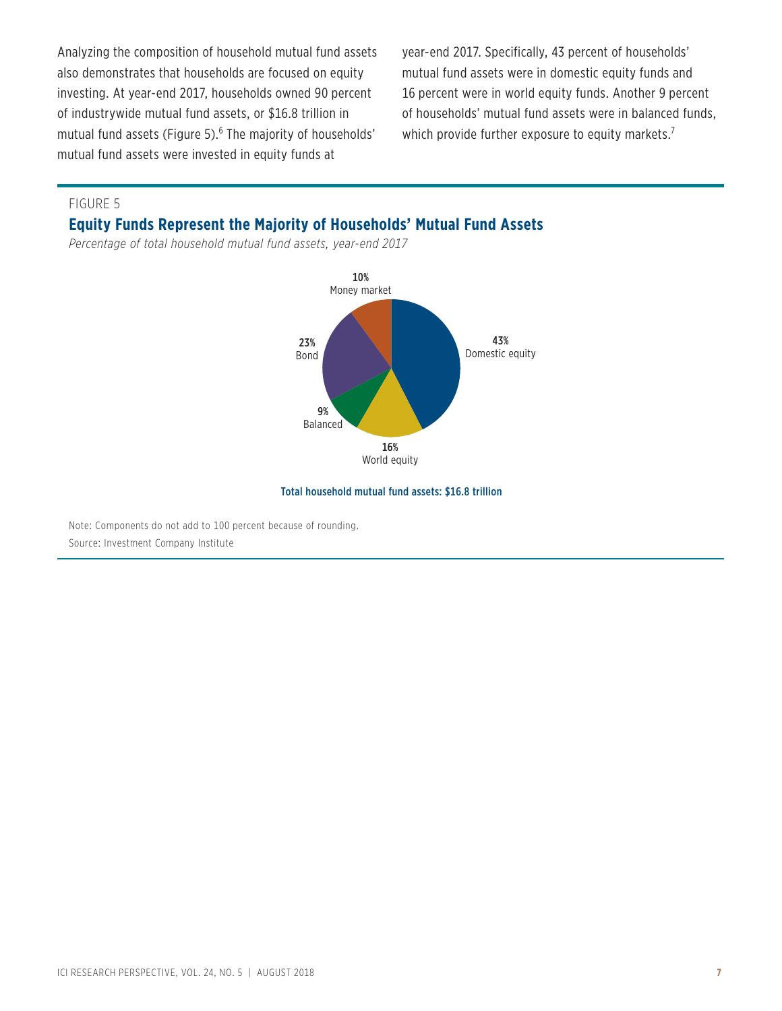Analyzing the composition of household mutual fund assets also demonstrates that households are focused on equity investing. At year-end 2017, households owned 90 percent of industrywide mutual fund assets, or \$16.8 trillion in mutual fund assets (Figure 5).<sup>6</sup> The majority of households' mutual fund assets were invested in equity funds at

year-end 2017. Specifically, 43 percent of households' mutual fund assets were in domestic equity funds and 16 percent were in world equity funds. Another 9 percent of households' mutual fund assets were in balanced funds, which provide further exposure to equity markets.<sup>7</sup>

FIGURE 5

### **Equity Funds Represent the Majority of Households' Mutual Fund Assets**

*Percentage of total household mutual fund assets, year-end 2017*



#### Total household mutual fund assets: \$16.8 trillion

Note: Components do not add to 100 percent because of rounding. Source: Investment Company Institute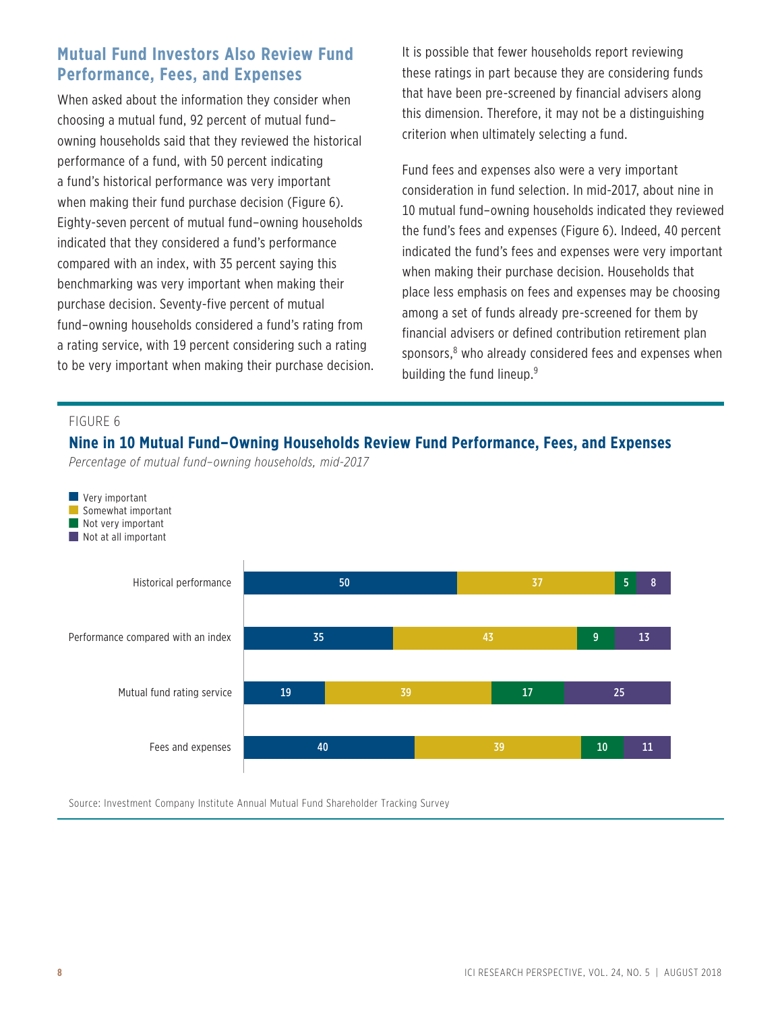# **Mutual Fund Investors Also Review Fund Performance, Fees, and Expenses**

When asked about the information they consider when choosing a mutual fund, 92 percent of mutual fund– owning households said that they reviewed the historical performance of a fund, with 50 percent indicating a fund's historical performance was very important when making their fund purchase decision (Figure 6). Eighty-seven percent of mutual fund–owning households indicated that they considered a fund's performance compared with an index, with 35 percent saying this benchmarking was very important when making their purchase decision. Seventy-five percent of mutual fund–owning households considered a fund's rating from a rating service, with 19 percent considering such a rating to be very important when making their purchase decision. It is possible that fewer households report reviewing these ratings in part because they are considering funds that have been pre-screened by financial advisers along this dimension. Therefore, it may not be a distinguishing criterion when ultimately selecting a fund.

Fund fees and expenses also were a very important consideration in fund selection. In mid-2017, about nine in 10 mutual fund–owning households indicated they reviewed the fund's fees and expenses (Figure 6). Indeed, 40 percent indicated the fund's fees and expenses were very important when making their purchase decision. Households that place less emphasis on fees and expenses may be choosing among a set of funds already pre-screened for them by financial advisers or defined contribution retirement plan sponsors, $^8$  who already considered fees and expenses when building the fund lineup.<sup>9</sup>

#### FIGURE 6

# **Nine in 10 Mutual Fund–Owning Households Review Fund Performance, Fees, and Expenses**

*Percentage of mutual fund–owning households, mid-2017*



Source: Investment Company Institute Annual Mutual Fund Shareholder Tracking Survey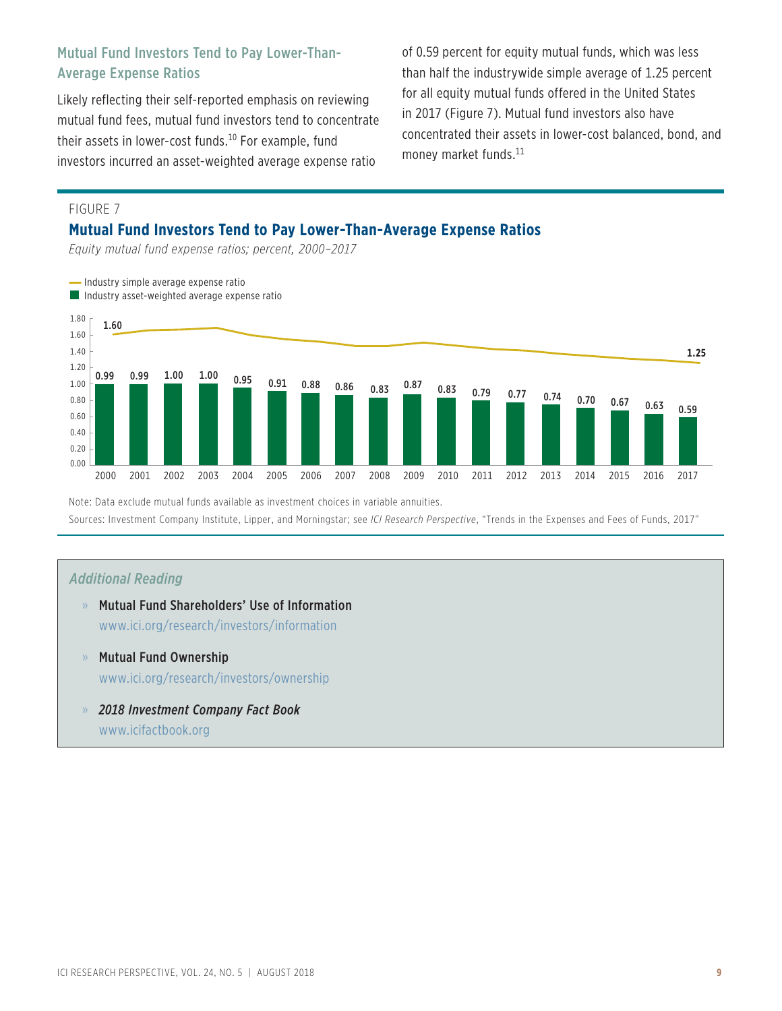# Mutual Fund Investors Tend to Pay Lower-Than-Average Expense Ratios

Likely reflecting their self-reported emphasis on reviewing mutual fund fees, mutual fund investors tend to concentrate their assets in lower-cost funds.<sup>10</sup> For example, fund investors incurred an asset-weighted average expense ratio

of 0.59 percent for equity mutual funds, which was less than half the industrywide simple average of 1.25 percent for all equity mutual funds offered in the United States in 2017 (Figure 7). Mutual fund investors also have concentrated their assets in lower-cost balanced, bond, and money market funds.<sup>11</sup>

### FIGURE 7

### **Mutual Fund Investors Tend to Pay Lower-Than-Average Expense Ratios**

*Equity mutual fund expense ratios; percent, 2000–2017*



Note: Data exclude mutual funds available as investment choices in variable annuities. Sources: Investment Company Institute, Lipper, and Morningstar; see *ICI Research Perspective*, "Trends in the Expenses and Fees of Funds, 2017"

### *Additional Reading*

- » Mutual Fund Shareholders' Use of Information www.ici.org/research/investors/information
- » Mutual Fund Ownership www.ici.org/research/investors/ownership
- » *2018 Investment Company Fact Book* www.icifactbook.org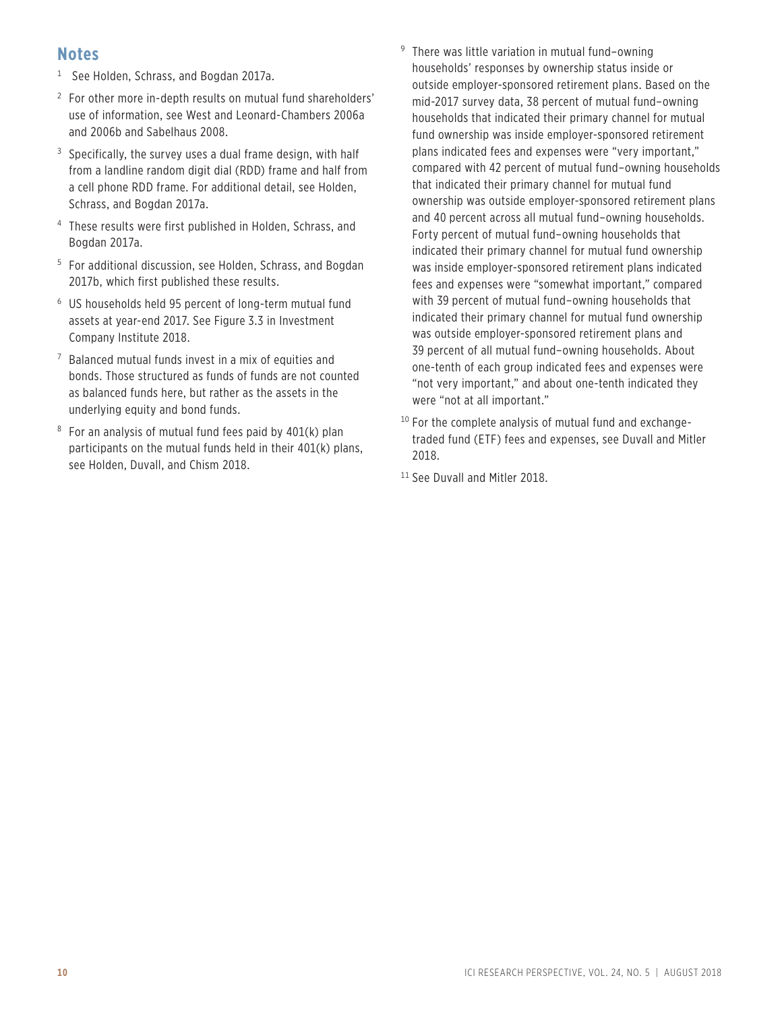# **Notes**

- $<sup>1</sup>$  See Holden, Schrass, and Bogdan 2017a.</sup>
- 2 For other more in-depth results on mutual fund shareholders' use of information, see West and Leonard-Chambers 2006a and 2006b and Sabelhaus 2008.
- $3$  Specifically, the survey uses a dual frame design, with half from a landline random digit dial (RDD) frame and half from a cell phone RDD frame. For additional detail, see Holden, Schrass, and Bogdan 2017a.
- 4 These results were first published in Holden, Schrass, and Bogdan 2017a.
- 5 For additional discussion, see Holden, Schrass, and Bogdan 2017b, which first published these results.
- 6 US households held 95 percent of long-term mutual fund assets at year-end 2017. See Figure 3.3 in Investment Company Institute 2018.
- 7 Balanced mutual funds invest in a mix of equities and bonds. Those structured as funds of funds are not counted as balanced funds here, but rather as the assets in the underlying equity and bond funds.
- 8 For an analysis of mutual fund fees paid by 401(k) plan participants on the mutual funds held in their 401(k) plans, see Holden, Duvall, and Chism 2018.
- 9 There was little variation in mutual fund–owning households' responses by ownership status inside or outside employer-sponsored retirement plans. Based on the mid-2017 survey data, 38 percent of mutual fund–owning households that indicated their primary channel for mutual fund ownership was inside employer-sponsored retirement plans indicated fees and expenses were "very important," compared with 42 percent of mutual fund–owning households that indicated their primary channel for mutual fund ownership was outside employer-sponsored retirement plans and 40 percent across all mutual fund–owning households. Forty percent of mutual fund–owning households that indicated their primary channel for mutual fund ownership was inside employer-sponsored retirement plans indicated fees and expenses were "somewhat important," compared with 39 percent of mutual fund–owning households that indicated their primary channel for mutual fund ownership was outside employer-sponsored retirement plans and 39 percent of all mutual fund–owning households. About one-tenth of each group indicated fees and expenses were "not very important," and about one-tenth indicated they were "not at all important."
- $10$  For the complete analysis of mutual fund and exchangetraded fund (ETF) fees and expenses, see Duvall and Mitler 2018.
- <sup>11</sup> See Duvall and Mitler 2018.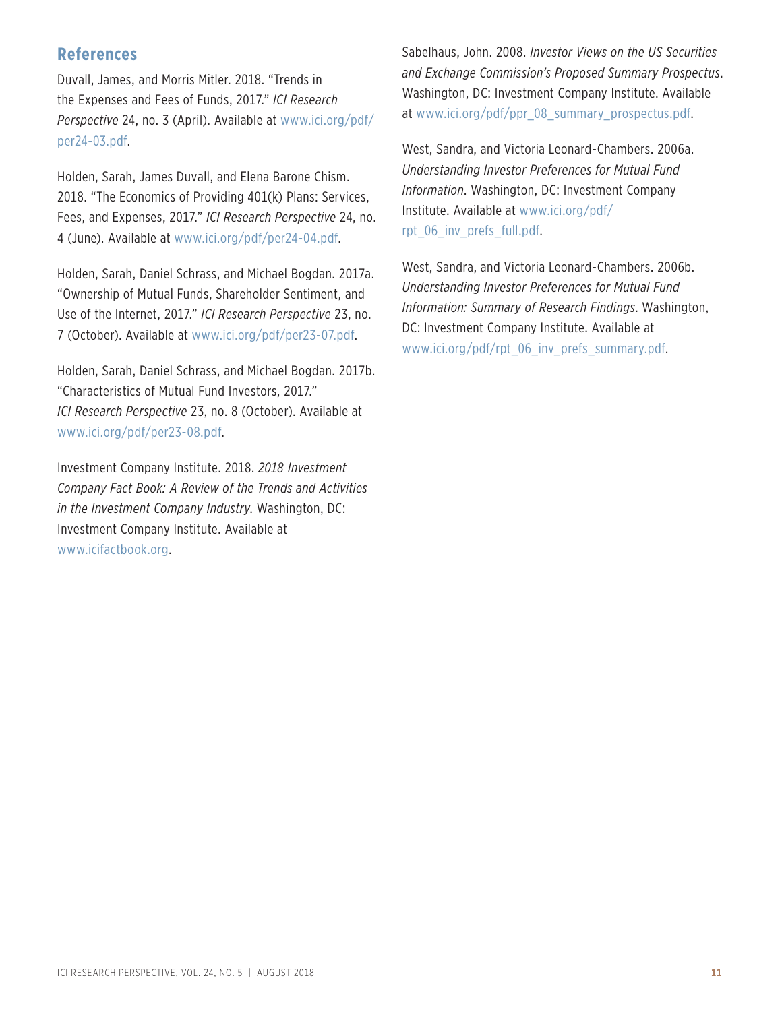# **References**

Duvall, James, and Morris Mitler. 2018. "Trends in the Expenses and Fees of Funds, 2017." *ICI Research Perspective* [24, no. 3 \(April\). Available at www.ici.org/pdf/](www.ici.org/pdf/per24-03.pdf) per24-03.pdf.

Holden, Sarah, James Duvall, and Elena Barone Chism. 2018. "The Economics of Providing 401(k) Plans: Services, Fees, and Expenses, 2017." *ICI Research Perspective* 24, no. 4 (June). Available at www.ici.org/pdf/per24-04.pdf.

Holden, Sarah, Daniel Schrass, and Michael Bogdan. 2017a. "Ownership of Mutual Funds, Shareholder Sentiment, and Use of the Internet, 2017." *ICI Research Perspective* 23, no. 7 (October). Available at www.ici.org/pdf/per23-07.pdf.

Holden, Sarah, Daniel Schrass, and Michael Bogdan. 2017b. "Characteristics of Mutual Fund Investors, 2017." *ICI Research Perspective* 23, no. 8 (October). Available at www.ici.org/pdf/per23-08.pdf.

Investment Company Institute. 2018. *2018 Investment Company Fact Book: A Review of the Trends and Activities in the Investment Company Industry*. Washington, DC: Investment Company Institute. Available at www.icifactbook.org.

Sabelhaus, John. 2008. *Investor Views on the US Securities and Exchange Commission's Proposed Summary Prospectus*. Washington, DC: Investment Company Institute. Available at www.ici.org/pdf/ppr\_08\_summary\_prospectus.pdf.

West, Sandra, and Victoria Leonard-Chambers. 2006a. *Understanding Investor Preferences for Mutual Fund Information*. Washington, DC: Investment Company [Institute. Available at www.ici.org/pdf/](www.ici.org/pdf/rpt_06_inv_prefs_full.pdf) rpt\_06\_inv\_prefs\_full.pdf.

West, Sandra, and Victoria Leonard-Chambers. 2006b. *Understanding Investor Preferences for Mutual Fund Information: Summary of Research Findings*. Washington, DC: Investment Company Institute. Available at www.ici.org/pdf/rpt\_06\_inv\_prefs\_summary.pdf.